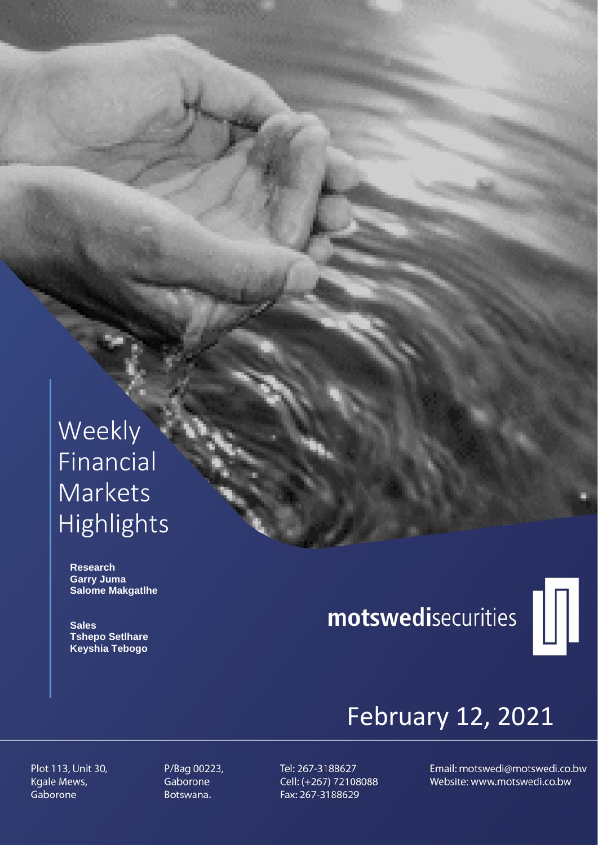# Weekly **Financial** Markets Highlights

 **Research Garry Juma Salome Makgatlhe**

 **Sales Tshepo Setlhare Keyshia Tebogo**

# motswedisecurities



# February 12, 2021

Plot 113, Unit 30, Kgale Mews, Gaborone

P/Bag 00223, Gaborone Botswana.

Tel: 267-3188627 Cell: (+267) 72108088 Fax: 267-3188629

Email: motswedi@motswedi.co.bw Website: www.motswedi.co.bw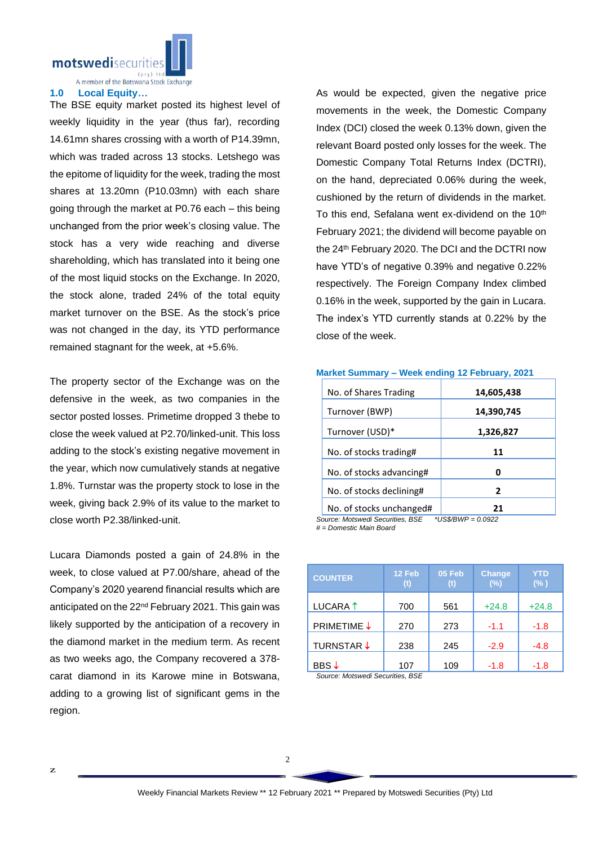motswedisecuriti

A member of the Botswana Stock Exchange

## **1.0 Local Equity…**

The BSE equity market posted its highest level of weekly liquidity in the year (thus far), recording 14.61mn shares crossing with a worth of P14.39mn, which was traded across 13 stocks. Letshego was the epitome of liquidity for the week, trading the most shares at 13.20mn (P10.03mn) with each share going through the market at P0.76 each – this being unchanged from the prior week's closing value. The stock has a very wide reaching and diverse shareholding, which has translated into it being one of the most liquid stocks on the Exchange. In 2020, the stock alone, traded 24% of the total equity market turnover on the BSE. As the stock's price was not changed in the day, its YTD performance remained stagnant for the week, at +5.6%.

The property sector of the Exchange was on the defensive in the week, as two companies in the sector posted losses. Primetime dropped 3 thebe to close the week valued at P2.70/linked-unit. This loss adding to the stock's existing negative movement in the year, which now cumulatively stands at negative 1.8%. Turnstar was the property stock to lose in the week, giving back 2.9% of its value to the market to close worth P2.38/linked-unit.

Lucara Diamonds posted a gain of 24.8% in the week, to close valued at P7.00/share, ahead of the Company's 2020 yearend financial results which are anticipated on the 22<sup>nd</sup> February 2021. This gain was likely supported by the anticipation of a recovery in the diamond market in the medium term. As recent as two weeks ago, the Company recovered a 378 carat diamond in its Karowe mine in Botswana, adding to a growing list of significant gems in the region.

As would be expected, given the negative price movements in the week, the Domestic Company Index (DCI) closed the week 0.13% down, given the relevant Board posted only losses for the week. The Domestic Company Total Returns Index (DCTRI), on the hand, depreciated 0.06% during the week, cushioned by the return of dividends in the market. To this end, Sefalana went ex-dividend on the 10<sup>th</sup> February 2021; the dividend will become payable on the 24th February 2020. The DCI and the DCTRI now have YTD's of negative 0.39% and negative 0.22% respectively. The Foreign Company Index climbed 0.16% in the week, supported by the gain in Lucara. The index's YTD currently stands at 0.22% by the close of the week.

| No. of Shares Trading    | 14,605,438 |
|--------------------------|------------|
| Turnover (BWP)           | 14,390,745 |
| Turnover (USD)*          | 1,326,827  |
| No. of stocks trading#   | 11         |
| No. of stocks advancing# |            |
| No. of stocks declining# | 2          |
| No. of stocks unchanged# |            |

**Market Summary – Week ending 12 February, 2021**

*Source: Motswedi Securities, BSE \*US\$/BWP = 0.0922 # = Domestic Main Board*

| <b>COUNTER</b>      | 12 Feb | 05 Feb<br>$_{\rm (t)}$ | <b>Change</b><br>(%) | YTD<br>$(\% )$ |
|---------------------|--------|------------------------|----------------------|----------------|
| LUCARA <sup>1</sup> | 700    | 561                    | $+24.8$              | $+24.8$        |
| <b>PRIMETIME ↓</b>  | 270    | 273                    | $-1.1$               | -1.8           |
| <b>TURNSTAR ↓</b>   | 238    | 245                    | $-2.9$               | $-4.8$         |
| BBS↓                | 107    | 109                    | -1.8                 | -1.8           |

*Source: Motswedi Securities, BSE*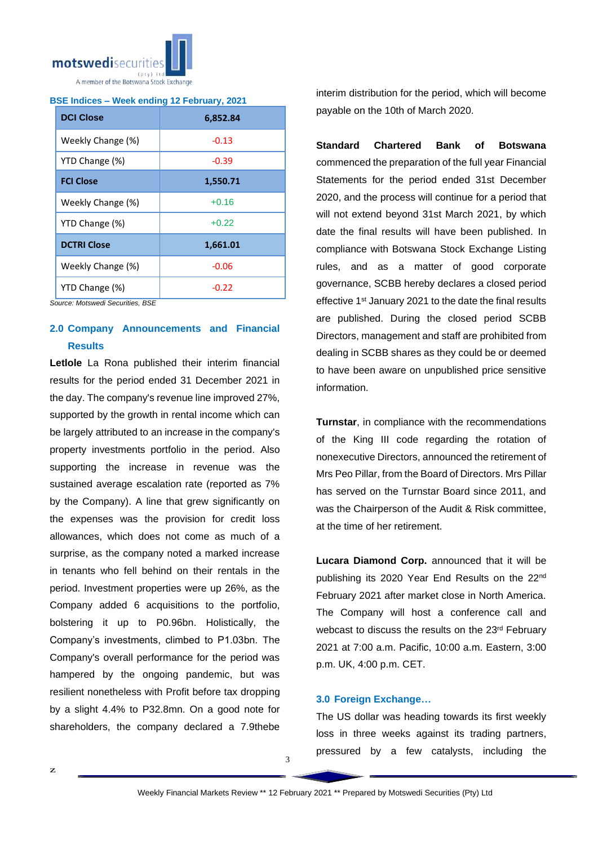

# **BSE Indices – Week ending 12 February, 2021**

| <b>DCI Close</b>   | 6,852.84 |  |  |
|--------------------|----------|--|--|
| Weekly Change (%)  | $-0.13$  |  |  |
| YTD Change (%)     | $-0.39$  |  |  |
| <b>FCI Close</b>   | 1,550.71 |  |  |
| Weekly Change (%)  | $+0.16$  |  |  |
| YTD Change (%)     | $+0.22$  |  |  |
| <b>DCTRI Close</b> | 1,661.01 |  |  |
| Weekly Change (%)  | $-0.06$  |  |  |
| YTD Change (%)     | $-0.22$  |  |  |

*Source: Motswedi Securities, BSE*

# **2.0 Company Announcements and Financial Results**

**Letlole** La Rona published their interim financial results for the period ended 31 December 2021 in the day. The company's revenue line improved 27%, supported by the growth in rental income which can be largely attributed to an increase in the company's property investments portfolio in the period. Also supporting the increase in revenue was the sustained average escalation rate (reported as 7% by the Company). A line that grew significantly on the expenses was the provision for credit loss allowances, which does not come as much of a surprise, as the company noted a marked increase in tenants who fell behind on their rentals in the period. Investment properties were up 26%, as the Company added 6 acquisitions to the portfolio, bolstering it up to P0.96bn. Holistically, the Company's investments, climbed to P1.03bn. The Company's overall performance for the period was hampered by the ongoing pandemic, but was resilient nonetheless with Profit before tax dropping by a slight 4.4% to P32.8mn. On a good note for shareholders, the company declared a 7.9thebe

interim distribution for the period, which will become payable on the 10th of March 2020.

**Standard Chartered Bank of Botswana** commenced the preparation of the full year Financial Statements for the period ended 31st December 2020, and the process will continue for a period that will not extend beyond 31st March 2021, by which date the final results will have been published. In compliance with Botswana Stock Exchange Listing rules, and as a matter of good corporate governance, SCBB hereby declares a closed period effective 1<sup>st</sup> January 2021 to the date the final results are published. During the closed period SCBB Directors, management and staff are prohibited from dealing in SCBB shares as they could be or deemed to have been aware on unpublished price sensitive information.

**Turnstar**, in compliance with the recommendations of the King III code regarding the rotation of nonexecutive Directors, announced the retirement of Mrs Peo Pillar, from the Board of Directors. Mrs Pillar has served on the Turnstar Board since 2011, and was the Chairperson of the Audit & Risk committee, at the time of her retirement.

**Lucara Diamond Corp.** announced that it will be publishing its 2020 Year End Results on the 22<sup>nd</sup> February 2021 after market close in North America. The Company will host a conference call and webcast to discuss the results on the 23rd February 2021 at 7:00 a.m. Pacific, 10:00 a.m. Eastern, 3:00 p.m. UK, 4:00 p.m. CET.

# **3.0 Foreign Exchange…**

The US dollar was heading towards its first weekly loss in three weeks against its trading partners, pressured by a few catalysts, including the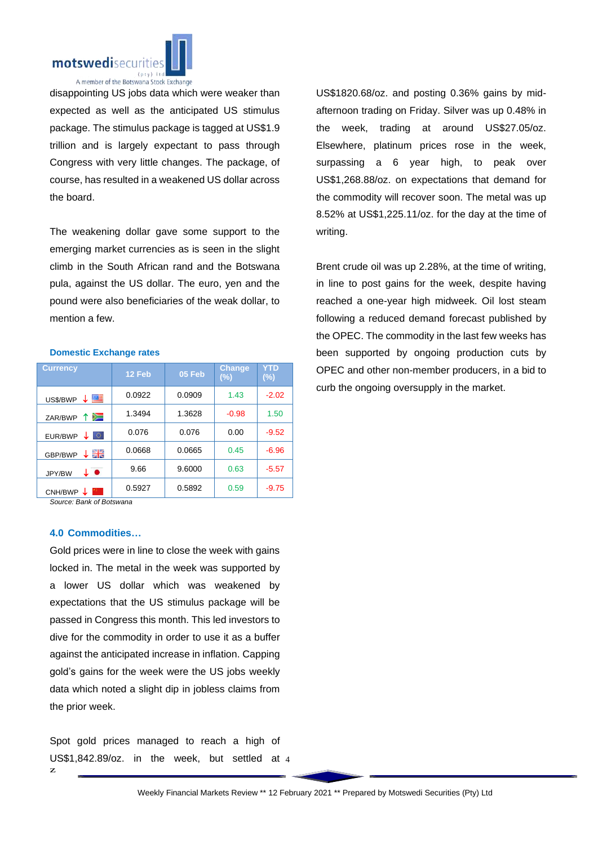

disappointing US jobs data which were weaker than expected as well as the anticipated US stimulus package. The stimulus package is tagged at US\$1.9 trillion and is largely expectant to pass through Congress with very little changes. The package, of course, has resulted in a weakened US dollar across the board.

The weakening dollar gave some support to the emerging market currencies as is seen in the slight climb in the South African rand and the Botswana pula, against the US dollar. The euro, yen and the pound were also beneficiaries of the weak dollar, to mention a few.

### **Domestic Exchange rates**

| <b>Currency</b>          | 12 Feb | 05 Feb | <b>Change</b><br>$(\%)$ | YTD<br>$(\%)$ |
|--------------------------|--------|--------|-------------------------|---------------|
| ↓≊<br>US\$/BWP           | 0.0922 | 0.0909 | 1.43                    | $-2.02$       |
| ≋<br>↑<br>ZAR/BWP        | 1.3494 | 1.3628 | $-0.98$                 | 1.50          |
| lo.<br>EUR/BWP           | 0.076  | 0.076  | 0.00                    | $-9.52$       |
| ↓ ∺∺<br>GBP/BWP          | 0.0668 | 0.0665 | 0.45                    | $-6.96$       |
| $\bullet$<br>↓<br>JPY/BW | 9.66   | 9.6000 | 0.63                    | $-5.57$       |
| CNH/BWP                  | 0.5927 | 0.5892 | 0.59                    | $-9.75$       |

*Source: Bank of Botswana*

# **4.0 Commodities…**

Gold prices were in line to close the week with gains locked in. The metal in the week was supported by a lower US dollar which was weakened by expectations that the US stimulus package will be passed in Congress this month. This led investors to dive for the commodity in order to use it as a buffer against the anticipated increase in inflation. Capping gold's gains for the week were the US jobs weekly data which noted a slight dip in jobless claims from the prior week.

US\$1,842.89/oz. in the week, but settled at 4 Spot gold prices managed to reach a high of

US\$1820.68/oz. and posting 0.36% gains by midafternoon trading on Friday. Silver was up 0.48% in the week, trading at around US\$27.05/oz. Elsewhere, platinum prices rose in the week, surpassing a 6 year high, to peak over US\$1,268.88/oz. on expectations that demand for the commodity will recover soon. The metal was up 8.52% at US\$1,225.11/oz. for the day at the time of writing.

Brent crude oil was up 2.28%, at the time of writing, in line to post gains for the week, despite having reached a one-year high midweek. Oil lost steam following a reduced demand forecast published by the OPEC. The commodity in the last few weeks has been supported by ongoing production cuts by OPEC and other non-member producers, in a bid to curb the ongoing oversupply in the market.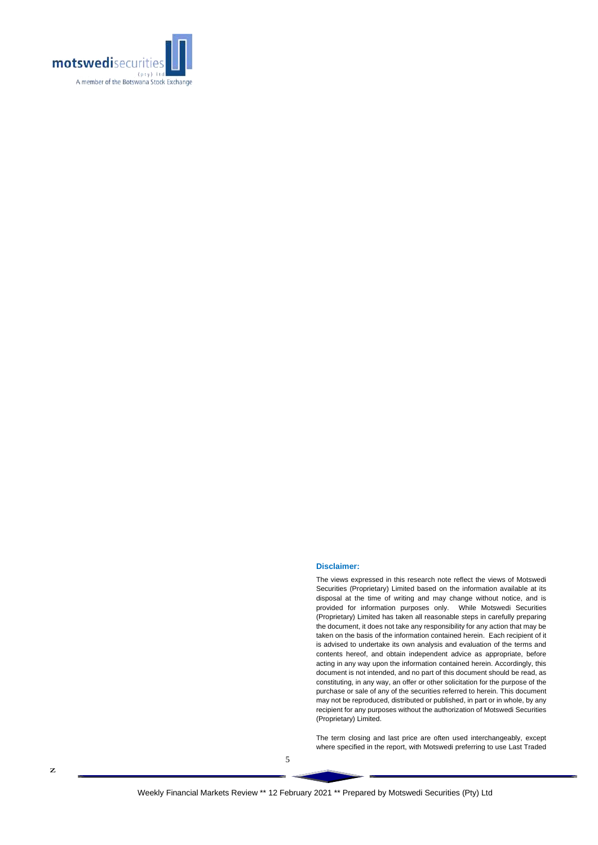

#### **Disclaimer:**

The views expressed in this research note reflect the views of Motswedi Securities (Proprietary) Limited based on the information available at its disposal at the time of writing and may change without notice, and is provided for information purposes only. While Motswedi Securities (Proprietary) Limited has taken all reasonable steps in carefully preparing the document, it does not take any responsibility for any action that may be taken on the basis of the information contained herein. Each recipient of it is advised to undertake its own analysis and evaluation of the terms and contents hereof, and obtain independent advice as appropriate, before acting in any way upon the information contained herein. Accordingly, this document is not intended, and no part of this document should be read, as constituting, in any way, an offer or other solicitation for the purpose of the purchase or sale of any of the securities referred to herein. This document may not be reproduced, distributed or published, in part or in whole, by any recipient for any purposes without the authorization of Motswedi Securities (Proprietary) Limited.

The term closing and last price are often used interchangeably, except where specified in the report, with Motswedi preferring to use Last Traded

5